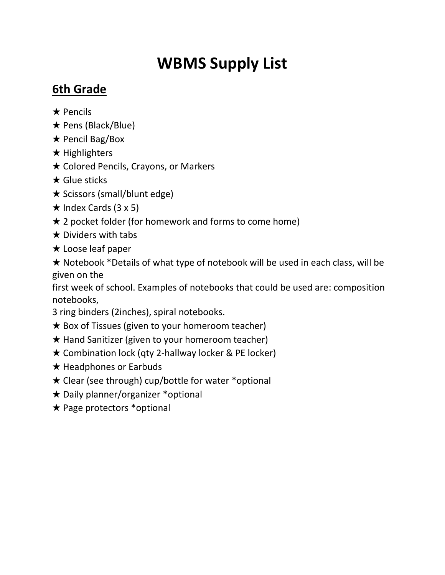# **WBMS Supply List**

## **6th Grade**

- ★ Pencils
- ★ Pens (Black/Blue)
- ★ Pencil Bag/Box
- ★ Highlighters
- ★ Colored Pencils, Crayons, or Markers
- ★ Glue sticks
- ★ Scissors (small/blunt edge)
- $\star$  Index Cards (3 x 5)
- $\star$  2 pocket folder (for homework and forms to come home)
- $\star$  Dividers with tabs
- ★ Loose leaf paper

★ Notebook \*Details of what type of notebook will be used in each class, will be given on the

first week of school. Examples of notebooks that could be used are: composition notebooks,

- 3 ring binders (2inches), spiral notebooks.
- $\star$  Box of Tissues (given to your homeroom teacher)
- ★ Hand Sanitizer (given to your homeroom teacher)
- ★ Combination lock (qty 2-hallway locker & PE locker)
- ★ Headphones or Earbuds
- ★ Clear (see through) cup/bottle for water \*optional
- ★ Daily planner/organizer \*optional
- ★ Page protectors \*optional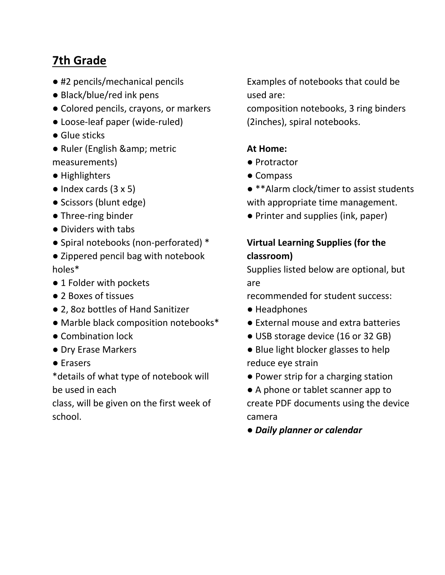## **7th Grade**

- #2 pencils/mechanical pencils
- Black/blue/red ink pens
- Colored pencils, crayons, or markers
- Loose-leaf paper (wide-ruled)
- Glue sticks
- Ruler (English & amp; metric measurements)
- Highlighters
- $\bullet$  Index cards (3 x 5)
- Scissors (blunt edge)
- Three-ring binder
- Dividers with tabs
- Spiral notebooks (non-perforated) \*
- Zippered pencil bag with notebook holes\*
- 1 Folder with pockets
- 2 Boxes of tissues
- 2, 8oz bottles of Hand Sanitizer
- Marble black composition notebooks\*
- Combination lock
- Dry Erase Markers
- Erasers

\*details of what type of notebook will be used in each

class, will be given on the first week of school.

Examples of notebooks that could be used are:

composition notebooks, 3 ring binders (2inches), spiral notebooks.

#### **At Home:**

- Protractor
- Compass
- \*\*Alarm clock/timer to assist students
- with appropriate time management.
- Printer and supplies (ink, paper)

### **Virtual Learning Supplies (for the classroom)**

Supplies listed below are optional, but are

recommended for student success:

- Headphones
- External mouse and extra batteries
- USB storage device (16 or 32 GB)
- Blue light blocker glasses to help reduce eye strain
- Power strip for a charging station
- A phone or tablet scanner app to create PDF documents using the device camera

● *Daily planner or calendar*